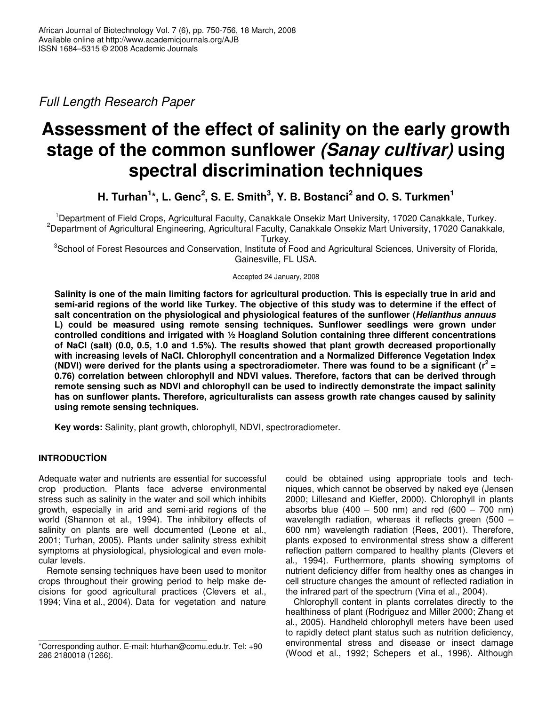*Full Length Research Paper*

# **Assessment of the effect of salinity on the early growth stage of the common sunflower** *(Sanay cultivar)* **using spectral discrimination techniques**

H. Turhan $^{1*}$ , L. Genc<sup>2</sup>, S. E. Smith $^3$ , Y. B. Bostanci<sup>2</sup> and O. S. Turkmen $^1$ 

<sup>1</sup>Department of Field Crops, Agricultural Faculty, Canakkale Onsekiz Mart University, 17020 Canakkale, Turkey. <sup>2</sup>Department of Agricultural Engineering, Agricultural Faculty, Canakkale Onsekiz Mart University, 17020 Canakkale, Turkey.

<sup>3</sup>School of Forest Resources and Conservation, Institute of Food and Agricultural Sciences, University of Florida, Gainesville, FL USA.

Accepted 24 January, 2008

Salinity is one of the main limiting factors for agricultural production. This is especially true in arid and semi-arid regions of the world like Turkey. The objective of this study was to determine if the effect of **salt concentration on the physiological and physiological features of the sunflower (***Helianthus annuus* **L) could be measured using remote sensing techniques. Sunflower seedlings were grown under controlled conditions and irrigated with ½ Hoagland Solution containing three different concentrations of NaCl (salt) (0.0, 0.5, 1.0 and 1.5%). The results showed that plant growth decreased proportionally with increasing levels of NaCl. Chlorophyll concentration and a Normalized Difference Vegetation Index** (NDVI) were derived for the plants using a spectroradiometer. There was found to be a significant ( $r^2$  = **0.76) correlation between chlorophyll and NDVI values. Therefore, factors that can be derived through remote sensing such as NDVI and chlorophyll can be used to indirectly demonstrate the impact salinity has on sunflower plants. Therefore, agriculturalists can assess growth rate changes caused by salinity using remote sensing techniques.**

**Key words:** Salinity, plant growth, chlorophyll, NDVI, spectroradiometer.

# **INTRODUCTION**

Adequate water and nutrients are essential for successful crop production. Plants face adverse environmental stress such as salinity in the water and soil which inhibits growth, especially in arid and semi-arid regions of the world (Shannon et al., 1994). The inhibitory effects of salinity on plants are well documented (Leone et al., 2001; Turhan, 2005). Plants under salinity stress exhibit symptoms at physiological, physiological and even molecular levels.

Remote sensing techniques have been used to monitor crops throughout their growing period to help make decisions for good agricultural practices (Clevers et al., 1994; Vina et al., 2004). Data for vegetation and nature could be obtained using appropriate tools and techniques, which cannot be observed by naked eye (Jensen 2000; Lillesand and Kieffer, 2000). Chlorophyll in plants absorbs blue  $(400 - 500 \text{ nm})$  and red  $(600 - 700 \text{ nm})$ wavelength radiation, whereas it reflects green (500 – 600 nm) wavelength radiation (Rees, 2001). Therefore, plants exposed to environmental stress show a different reflection pattern compared to healthy plants (Clevers et al., 1994). Furthermore, plants showing symptoms of nutrient deficiency differ from healthy ones as changes in cell structure changes the amount of reflected radiation in the infrared part of the spectrum (Vina et al., 2004).

Chlorophyll content in plants correlates directly to the healthiness of plant (Rodriguez and Miller 2000; Zhang et al., 2005). Handheld chlorophyll meters have been used to rapidly detect plant status such as nutrition deficiency, environmental stress and disease or insect damage (Wood et al., 1992; Schepers et al., 1996). Although

<sup>\*</sup>Corresponding author. E-mail: hturhan@comu.edu.tr. Tel: +90 286 2180018 (1266).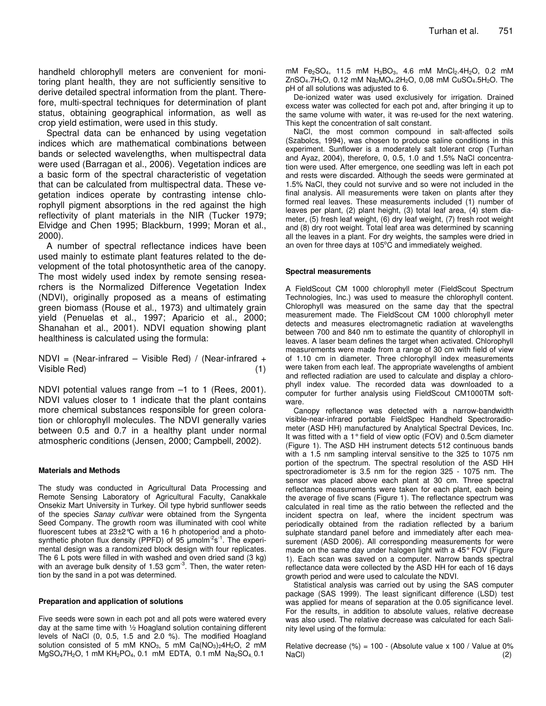handheld chlorophyll meters are convenient for monitoring plant health, they are not sufficiently sensitive to derive detailed spectral information from the plant. Therefore, multi-spectral techniques for determination of plant status, obtaining geographical information, as well as crop yield estimation, were used in this study.

Spectral data can be enhanced by using vegetation indices which are mathematical combinations between bands or selected wavelengths, when multispectral data were used (Barragan et al., 2006). Vegetation indices are a basic form of the spectral characteristic of vegetation that can be calculated from multispectral data. These vegetation indices operate by contrasting intense chlorophyll pigment absorptions in the red against the high reflectivity of plant materials in the NIR (Tucker 1979; Elvidge and Chen 1995; Blackburn, 1999; Moran et al., 2000).

A number of spectral reflectance indices have been used mainly to estimate plant features related to the development of the total photosynthetic area of the canopy. The most widely used index by remote sensing researchers is the Normalized Difference Vegetation Index (NDVI), originally proposed as a means of estimating green biomass (Rouse et al., 1973) and ultimately grain yield (Penuelas et al., 1997; Aparicio et al., 2000; Shanahan et al., 2001). NDVI equation showing plant healthiness is calculated using the formula:

NDVI = (Near-infrared – Visible Red) / (Near-infrared + Visible Red) (1)

NDVI potential values range from –1 to 1 (Rees, 2001). NDVI values closer to 1 indicate that the plant contains more chemical substances responsible for green coloration or chlorophyll molecules. The NDVI generally varies between 0.5 and 0.7 in a healthy plant under normal atmospheric conditions (Jensen, 2000; Campbell, 2002).

#### **Materials and Methods**

The study was conducted in Agricultural Data Processing and Remote Sensing Laboratory of Agricultural Faculty, Canakkale Onsekiz Mart University in Turkey. Oil type hybrid sunflower seeds of the species *Sanay cultivar* were obtained from the Syngenta Seed Company. The growth room was illuminated with cool white fluorescent tubes at 23±2°C with a 16 h photoperiod and a photosynthetic photon flux density (PPFD) of 95 µmolm<sup>-2</sup>s<sup>-1</sup>. The experimental design was a randomized block design with four replicates. The 6 L pots were filled in with washed and oven dried sand (3 kg) with an average bulk density of 1.53 gcm $3$ . Then, the water retention by the sand in a pot was determined.

#### **Preparation and application of solutions**

Five seeds were sown in each pot and all pots were watered every day at the same time with ½ Hoagland solution containing different levels of NaCl (0, 0.5, 1.5 and 2.0 %). The modified Hoagland solution consisted of 5 mM KNO<sub>3</sub>, 5 mM Ca $(NO<sub>3</sub>)<sub>2</sub>4H<sub>2</sub>O$ , 2 mM MgSO<sub>4</sub>7H<sub>2</sub>O, 1 mM KH<sub>2</sub>PO<sub>4</sub>, 0.1 mM EDTA, 0.1 mM Na<sub>2</sub>SO<sub>4</sub>, 0.1

mM Fe<sub>2</sub>SO<sub>4</sub>, 11.5 mM H<sub>3</sub>BO<sub>3</sub>, 4.6 mM MnCl<sub>2</sub>.4H<sub>2</sub>O, 0.2 mM  $ZnSO_4.7H_2O$ , 0.12 mM  $Na_2MO_4.2H_2O$ , 0,08 mM  $CuSO_4.5H_2O$ . The pH of all solutions was adjusted to 6.

De-ionized water was used exclusively for irrigation. Drained excess water was collected for each pot and, after bringing it up to the same volume with water, it was re-used for the next watering. This kept the concentration of salt constant.

NaCl, the most common compound in salt-affected soils (Szabolcs, 1994), was chosen to produce saline conditions in this experiment. Sunflower is a moderately salt tolerant crop (Turhan and Ayaz, 2004), therefore, 0, 0.5, 1.0 and 1.5% NaCl concentration were used. After emergence, one seedling was left in each pot and rests were discarded. Although the seeds were germinated at 1.5% NaCl, they could not survive and so were not included in the final analysis. All measurements were taken on plants after they formed real leaves. These measurements included (1) number of leaves per plant, (2) plant height, (3) total leaf area, (4) stem diameter, (5) fresh leaf weight, (6) dry leaf weight, (7) fresh root weight and (8) dry root weight. Total leaf area was determined by scanning all the leaves in a plant. For dry weights, the samples were dried in an oven for three days at 105°C and immediately weighed.

#### **Spectral measurements**

A FieldScout CM 1000 chlorophyll meter (FieldScout Spectrum Technologies, Inc.) was used to measure the chlorophyll content. Chlorophyll was measured on the same day that the spectral measurement made. The FieldScout CM 1000 chlorophyll meter detects and measures electromagnetic radiation at wavelengths between 700 and 840 nm to estimate the quantity of chlorophyll in leaves. A laser beam defines the target when activated. Chlorophyll measurements were made from a range of 30 cm with field of view of 1.10 cm in diameter. Three chlorophyll index measurements were taken from each leaf. The appropriate wavelengths of ambient and reflected radiation are used to calculate and display a chlorophyll index value. The recorded data was downloaded to a computer for further analysis using FieldScout CM1000TM software.

Canopy reflectance was detected with a narrow-bandwidth visible-near-infrared portable FieldSpec Handheld Spectroradiometer (ASD HH) manufactured by Analytical Spectral Devices, Inc. It was fitted with a 1° field of view optic (FOV) and 0.5cm diameter (Figure 1). The ASD HH instrument detects 512 continuous bands with a 1.5 nm sampling interval sensitive to the 325 to 1075 nm portion of the spectrum. The spectral resolution of the ASD HH spectroradiometer is 3.5 nm for the region 325 - 1075 nm. The sensor was placed above each plant at 30 cm. Three spectral reflectance measurements were taken for each plant, each being the average of five scans (Figure 1). The reflectance spectrum was calculated in real time as the ratio between the reflected and the incident spectra on leaf, where the incident spectrum was periodically obtained from the radiation reflected by a barium sulphate standard panel before and immediately after each measurement (ASD 2006). All corresponding measurements for were made on the same day under halogen light with a 45°FOV (Figure 1). Each scan was saved on a computer. Narrow bands spectral reflectance data were collected by the ASD HH for each of 16 days growth period and were used to calculate the NDVI.

Statistical analysis was carried out by using the SAS computer package (SAS 1999). The least significant difference (LSD) test was applied for means of separation at the 0.05 significance level. For the results, in addition to absolute values, relative decrease was also used. The relative decrease was calculated for each Salinity level using of the formula:

Relative decrease  $(\%)$  = 100 - (Absolute value x 100 / Value at 0% NaCl) (2)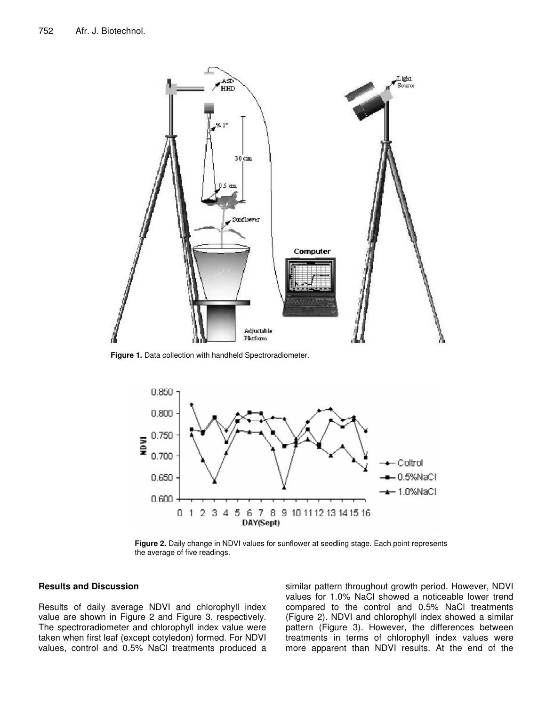

**Figure 1.** Data collection with handheld Spectroradiometer.



**Figure 2.** Daily change in NDVI values for sunflower at seedling stage. Each point represents the average of five readings.

## **Results and Discussion**

Results of daily average NDVI and chlorophyll index value are shown in Figure 2 and Figure 3, respectively. The spectroradiometer and chlorophyll index value were taken when first leaf (except cotyledon) formed. For NDVI values, control and 0.5% NaCl treatments produced a similar pattern throughout growth period. However, NDVI values for 1.0% NaCl showed a noticeable lower trend compared to the control and 0.5% NaCl treatments (Figure 2). NDVI and chlorophyll index showed a similar pattern (Figure 3). However, the differences between treatments in terms of chlorophyll index values were more apparent than NDVI results. At the end of the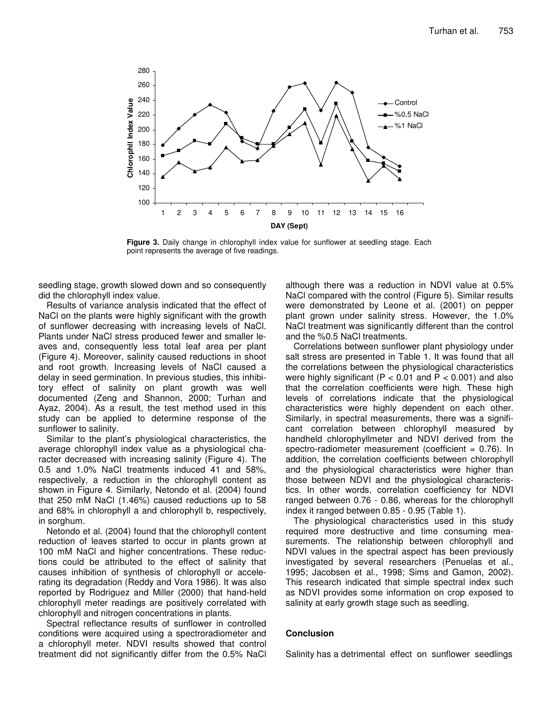

**Figure 3.** Daily change in chlorophyll index value for sunflower at seedling stage. Each point represents the average of five readings.

seedling stage, growth slowed down and so consequently did the chlorophyll index value.

Results of variance analysis indicated that the effect of NaCl on the plants were highly significant with the growth of sunflower decreasing with increasing levels of NaCl. Plants under NaCl stress produced fewer and smaller leaves and, consequently less total leaf area per plant (Figure 4). Moreover, salinity caused reductions in shoot and root growth. Increasing levels of NaCl caused a delay in seed germination. In previous studies, this inhibitory effect of salinity on plant growth was well documented (Zeng and Shannon, 2000; Turhan and Ayaz, 2004). As a result, the test method used in this study can be applied to determine response of the sunflower to salinity.

Similar to the plant's physiological characteristics, the average chlorophyll index value as a physiological character decreased with increasing salinity (Figure 4). The 0.5 and 1.0% NaCl treatments induced 41 and 58%, respectively, a reduction in the chlorophyll content as shown in Figure 4. Similarly, Netondo et al. (2004) found that 250 mM NaCl (1.46%) caused reductions up to 58 and 68% in chlorophyll a and chlorophyll b, respectively, in sorghum.

Netondo et al. (2004) found that the chlorophyll content reduction of leaves started to occur in plants grown at 100 mM NaCl and higher concentrations. These reductions could be attributed to the effect of salinity that causes inhibition of synthesis of chlorophyll or accelerating its degradation (Reddy and Vora 1986). It was also reported by Rodriguez and Miller (2000) that hand-held chlorophyll meter readings are positively correlated with chlorophyll and nitrogen concentrations in plants.

Spectral reflectance results of sunflower in controlled conditions were acquired using a spectroradiometer and a chlorophyll meter. NDVI results showed that control treatment did not significantly differ from the 0.5% NaCl

although there was a reduction in NDVI value at 0.5% NaCl compared with the control (Figure 5). Similar results were demonstrated by Leone et al. (2001) on pepper plant grown under salinity stress. However, the 1.0% NaCl treatment was significantly different than the control and the %0.5 NaCl treatments.

Correlations between sunflower plant physiology under salt stress are presented in Table 1. It was found that all the correlations between the physiological characteristics were highly significant ( $P < 0.01$  and  $P < 0.001$ ) and also that the correlation coefficients were high. These high levels of correlations indicate that the physiological characteristics were highly dependent on each other. Similarly, in spectral measurements, there was a significant correlation between chlorophyll measured by handheld chlorophyllmeter and NDVI derived from the spectro-radiometer measurement (coefficient  $= 0.76$ ). In addition, the correlation coefficients between chlorophyll and the physiological characteristics were higher than those between NDVI and the physiological characteristics. In other words, correlation coefficiency for NDVI ranged between 0.76 - 0.86, whereas for the chlorophyll index it ranged between 0.85 - 0.95 (Table 1).

The physiological characteristics used in this study required more destructive and time consuming measurements. The relationship between chlorophyll and NDVI values in the spectral aspect has been previously investigated by several researchers (Penuelas et al., 1995; Jacobsen et al., 1998; Sims and Gamon, 2002). This research indicated that simple spectral index such as NDVI provides some information on crop exposed to salinity at early growth stage such as seedling.

## **Conclusion**

Salinity has a detrimental effect on sunflower seedlings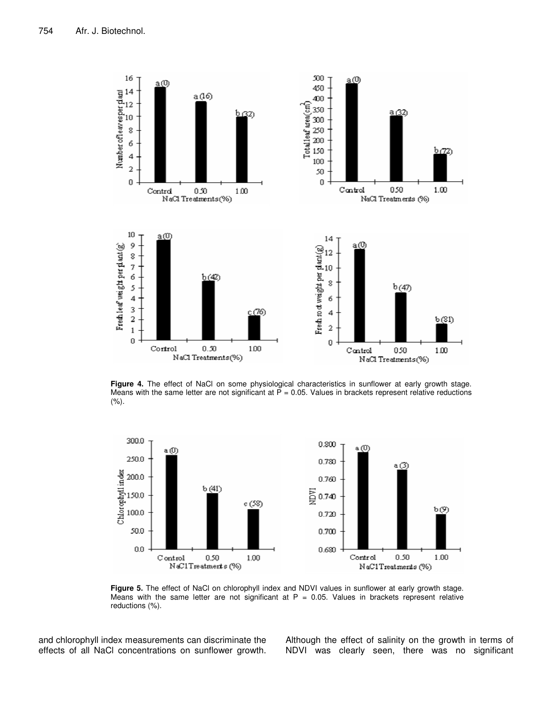

**Figure 4.** The effect of NaCl on some physiological characteristics in sunflower at early growth stage. Means with the same letter are not significant at  $P = 0.05$ . Values in brackets represent relative reductions (%).



**Figure 5.** The effect of NaCl on chlorophyll index and NDVI values in sunflower at early growth stage. Means with the same letter are not significant at  $P = 0.05$ . Values in brackets represent relative reductions (%).

and chlorophyll index measurements can discriminate the effects of all NaCl concentrations on sunflower growth. Although the effect of salinity on the growth in terms of NDVI was clearly seen, there was no significant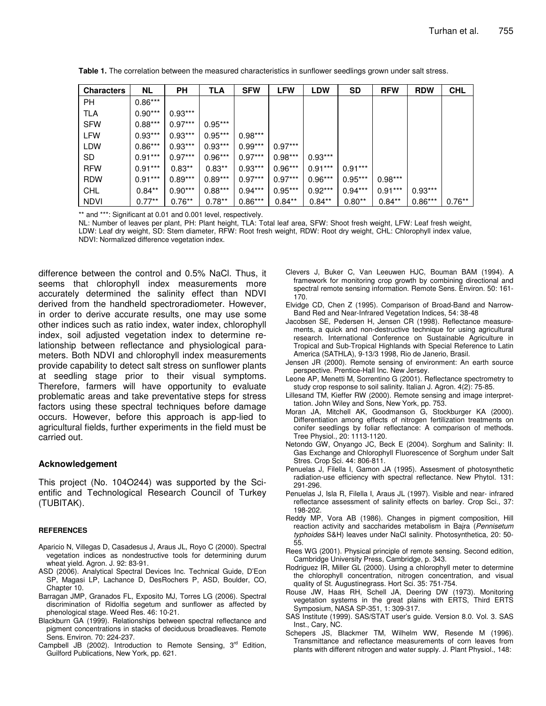| <b>Characters</b> | <b>NL</b> | <b>PH</b> | TLA       | <b>SFW</b> | <b>LFW</b> | <b>LDW</b> | SD        | <b>RFW</b> | <b>RDW</b> | <b>CHL</b> |
|-------------------|-----------|-----------|-----------|------------|------------|------------|-----------|------------|------------|------------|
| <b>PH</b>         | $0.86***$ |           |           |            |            |            |           |            |            |            |
| <b>TLA</b>        | $0.90***$ | $0.93***$ |           |            |            |            |           |            |            |            |
| <b>SFW</b>        | $0.88***$ | $0.97***$ | $0.95***$ |            |            |            |           |            |            |            |
| LFW               | $0.93***$ | $0.93***$ | $0.95***$ | $0.98***$  |            |            |           |            |            |            |
| LDW               | $0.86***$ | $0.93***$ | $0.93***$ | $0.99***$  | $0.97***$  |            |           |            |            |            |
| SD                | $0.91***$ | $0.97***$ | $0.96***$ | $0.97***$  | $0.98***$  | $0.93***$  |           |            |            |            |
| <b>RFW</b>        | $0.91***$ | $0.83**$  | $0.83**$  | $0.93***$  | $0.96***$  | $0.91***$  | $0.91***$ |            |            |            |
| <b>RDW</b>        | $0.91***$ | $0.89***$ | $0.89***$ | $0.97***$  | $0.97***$  | $0.96***$  | $0.95***$ | $0.98***$  |            |            |
| CHL               | $0.84**$  | $0.90***$ | $0.88***$ | $0.94***$  | $0.95***$  | $0.92***$  | $0.94***$ | $0.91***$  | $0.93***$  |            |
| <b>NDVI</b>       | $0.77***$ | $0.76**$  | $0.78**$  | $0.86***$  | $0.84**$   | $0.84**$   | $0.80**$  | $0.84**$   | $0.86***$  | $0.76**$   |

**Table 1.** The correlation between the measured characteristics in sunflower seedlings grown under salt stress.

\*\* and \*\*\*: Significant at 0.01 and 0.001 level, respectively.

NL: Number of leaves per plant, PH: Plant height, TLA: Total leaf area, SFW: Shoot fresh weight, LFW: Leaf fresh weight, LDW: Leaf dry weight, SD: Stem diameter, RFW: Root fresh weight, RDW: Root dry weight, CHL: Chlorophyll index value, NDVI: Normalized difference vegetation index.

difference between the control and 0.5% NaCl. Thus, it seems that chlorophyll index measurements more accurately determined the salinity effect than NDVI derived from the handheld spectroradiometer. However, in order to derive accurate results, one may use some other indices such as ratio index, water index, chlorophyll index, soil adjusted vegetation index to determine relationship between reflectance and physiological parameters. Both NDVI and chlorophyll index measurements provide capability to detect salt stress on sunflower plants at seedling stage prior to their visual symptoms. Therefore, farmers will have opportunity to evaluate problematic areas and take preventative steps for stress factors using these spectral techniques before damage occurs. However, before this approach is app-lied to agricultural fields, further experiments in the field must be carried out.

## **Acknowledgement**

This project (No. 104O244) was supported by the Scientific and Technological Research Council of Turkey (TUBITAK).

#### **REFERENCES**

- Aparicio N, Villegas D, Casadesus J, Araus JL, Royo C (2000). Spectral vegetation indices as nondestructive tools for determining durum wheat yield. Agron. J. 92: 83-91.
- ASD (2006). Analytical Spectral Devices Inc. Technical Guide, D'Eon SP, Magasi LP, Lachance D, DesRochers P, ASD, Boulder, CO, Chapter 10.
- Barragan JMP, Granados FL, Exposito MJ, Torres LG (2006). Spectral discrimination of Ridolfia segetum and sunflower as affected by phenological stage. Weed Res. 46: 10-21.
- Blackburn GA (1999). Relationships between spectral reflectance and pigment concentrations in stacks of deciduous broadleaves. Remote Sens. Environ. 70: 224-237.
- Campbell JB (2002). Introduction to Remote Sensing, 3<sup>rd</sup> Edition, Guilford Publications, New York, pp. 621.
- Clevers J, Buker C, Van Leeuwen HJC, Bouman BAM (1994). A framework for monitoring crop growth by combining directional and spectral remote sensing information. Remote Sens. Environ. 50: 161- 170.
- Elvidge CD, Chen Z (1995). Comparison of Broad-Band and Narrow-Band Red and Near-Infrared Vegetation Indices, 54: 38-48
- Jacobsen SE, Pedersen H, Jensen CR (1998). Reflectance measurements, a quick and non-destructive technique for using agricultural research. International Conference on Sustainable Agriculture in Tropical and Sub-Tropical Highlands with Special Reference to Latin America (SATHLA), 9-13/3 1998, Rio de Janerio, Brasil.
- Jensen JR (2000). Remote sensing of environment: An earth source perspective. Prentice-Hall Inc. New Jersey.
- Leone AP, Menetti M, Sorrentino G (2001). Reflectance spectrometry to study crop response to soil salinity. Italian J. Agron. 4(2): 75-85.
- Lillesand TM, Kieffer RW (2000). Remote sensing and image interprettation. John Wiley and Sons, New York, pp. 753.
- Moran JA, Mitchell AK, Goodmanson G, Stockburger KA (2000). Differentiation among effects of nitrogen fertilization treatments on conifer seedlings by foliar reflectance: A comparison of methods. Tree Physiol., 20: 1113-1120.
- Netondo GW, Onyango JC, Beck E (2004). Sorghum and Salinity: II. Gas Exchange and Chlorophyll Fluorescence of Sorghum under Salt Stres. Crop Sci. 44: 806-811.
- Penuelas J, Filella I, Gamon JA (1995). Assesment of photosynthetic radiation-use efficiency with spectral reflectance. New Phytol. 131: 291-296.
- Penuelas J, Isla R, Filella I, Araus JL (1997). Visible and near- infrared reflectance assessment of salinity effects on barley. Crop Sci., 37: 198-202.
- Reddy MP, Vora AB (1986). Changes in pigment composition, Hill reaction activity and saccharides metabolism in Bajra (*Pennisetum typhoides* S&H) leaves under NaCl salinity. Photosynthetica, 20: 50- 55.
- Rees WG (2001). Physical principle of remote sensing. Second edition, Cambridge University Press, Cambridge, p. 343.
- Rodriguez IR, Miller GL (2000). Using a chlorophyll meter to determine the chlorophyll concentration, nitrogen concentration, and visual quality of St. Augustinegrass. Hort Sci. 35: 751-754.
- Rouse JW, Haas RH, Schell JA, Deering DW (1973). Monitoring vegetation systems in the great plains with ERTS, Third ERTS Symposium, NASA SP-351, 1: 309-317.
- SAS Institute (1999). SAS/STAT user's guide. Version 8.0. Vol. 3. SAS Inst., Cary, NC.
- Schepers JS, Blackmer TM, Wilhelm WW, Resende M (1996). Transmittance and reflectance measurements of corn leaves from plants with different nitrogen and water supply. J. Plant Physiol., 148: